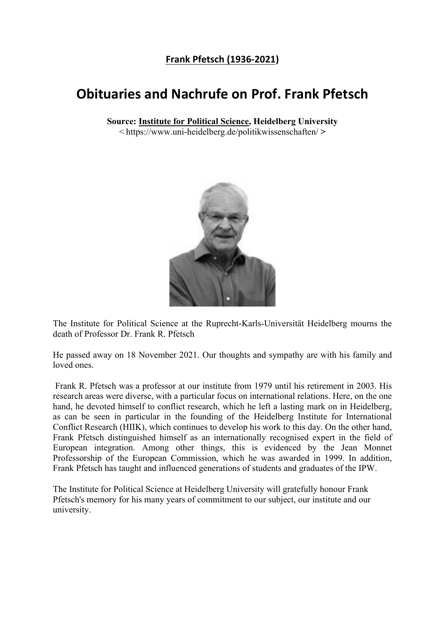## **Frank Pfetsch (1936-2021)**

## **Obituaries and Nachrufe on Prof. Frank Pfetsch**

**Source: Institute for Political Science, Heidelberg University**

< https://www.uni-heidelberg.de/politikwissenschaften/ **>** 



The Institute for Political Science at the Ruprecht-Karls-Universität Heidelberg mourns the death of Professor Dr. Frank R. Pfetsch

He passed away on 18 November 2021. Our thoughts and sympathy are with his family and loved ones.

Frank R. Pfetsch was a professor at our institute from 1979 until his retirement in 2003. His research areas were diverse, with a particular focus on international relations. Here, on the one hand, he devoted himself to conflict research, which he left a lasting mark on in Heidelberg, as can be seen in particular in the founding of the Heidelberg Institute for International Conflict Research (HIIK), which continues to develop his work to this day. On the other hand, Frank Pfetsch distinguished himself as an internationally recognised expert in the field of European integration. Among other things, this is evidenced by the Jean Monnet Professorship of the European Commission, which he was awarded in 1999. In addition, Frank Pfetsch has taught and influenced generations of students and graduates of the IPW.

The Institute for Political Science at Heidelberg University will gratefully honour Frank Pfetsch's memory for his many years of commitment to our subject, our institute and our university.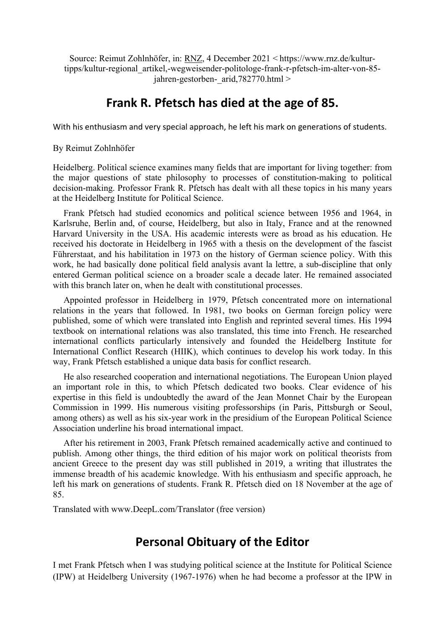Source: Reimut Zohlnhöfer, in: RNZ, 4 December 2021 < https://www.rnz.de/kulturtipps/kultur-regional\_artikel,-wegweisender-politologe-frank-r-pfetsch-im-alter-von-85 jahren-gestorben- $\ar{id}$ ,782770.html >

## **Frank R. Pfetsch has died at the age of 85.**

With his enthusiasm and very special approach, he left his mark on generations of students.

By Reimut Zohlnhöfer

Heidelberg. Political science examines many fields that are important for living together: from the major questions of state philosophy to processes of constitution-making to political decision-making. Professor Frank R. Pfetsch has dealt with all these topics in his many years at the Heidelberg Institute for Political Science.

Frank Pfetsch had studied economics and political science between 1956 and 1964, in Karlsruhe, Berlin and, of course, Heidelberg, but also in Italy, France and at the renowned Harvard University in the USA. His academic interests were as broad as his education. He received his doctorate in Heidelberg in 1965 with a thesis on the development of the fascist Führerstaat, and his habilitation in 1973 on the history of German science policy. With this work, he had basically done political field analysis avant la lettre, a sub-discipline that only entered German political science on a broader scale a decade later. He remained associated with this branch later on, when he dealt with constitutional processes.

Appointed professor in Heidelberg in 1979, Pfetsch concentrated more on international relations in the years that followed. In 1981, two books on German foreign policy were published, some of which were translated into English and reprinted several times. His 1994 textbook on international relations was also translated, this time into French. He researched international conflicts particularly intensively and founded the Heidelberg Institute for International Conflict Research (HIIK), which continues to develop his work today. In this way, Frank Pfetsch established a unique data basis for conflict research.

He also researched cooperation and international negotiations. The European Union played an important role in this, to which Pfetsch dedicated two books. Clear evidence of his expertise in this field is undoubtedly the award of the Jean Monnet Chair by the European Commission in 1999. His numerous visiting professorships (in Paris, Pittsburgh or Seoul, among others) as well as his six-year work in the presidium of the European Political Science Association underline his broad international impact.

After his retirement in 2003, Frank Pfetsch remained academically active and continued to publish. Among other things, the third edition of his major work on political theorists from ancient Greece to the present day was still published in 2019, a writing that illustrates the immense breadth of his academic knowledge. With his enthusiasm and specific approach, he left his mark on generations of students. Frank R. Pfetsch died on 18 November at the age of 85.

Translated with www.DeepL.com/Translator (free version)

## **Personal Obituary of the Editor**

I met Frank Pfetsch when I was studying political science at the Institute for Political Science (IPW) at Heidelberg University (1967-1976) when he had become a professor at the IPW in